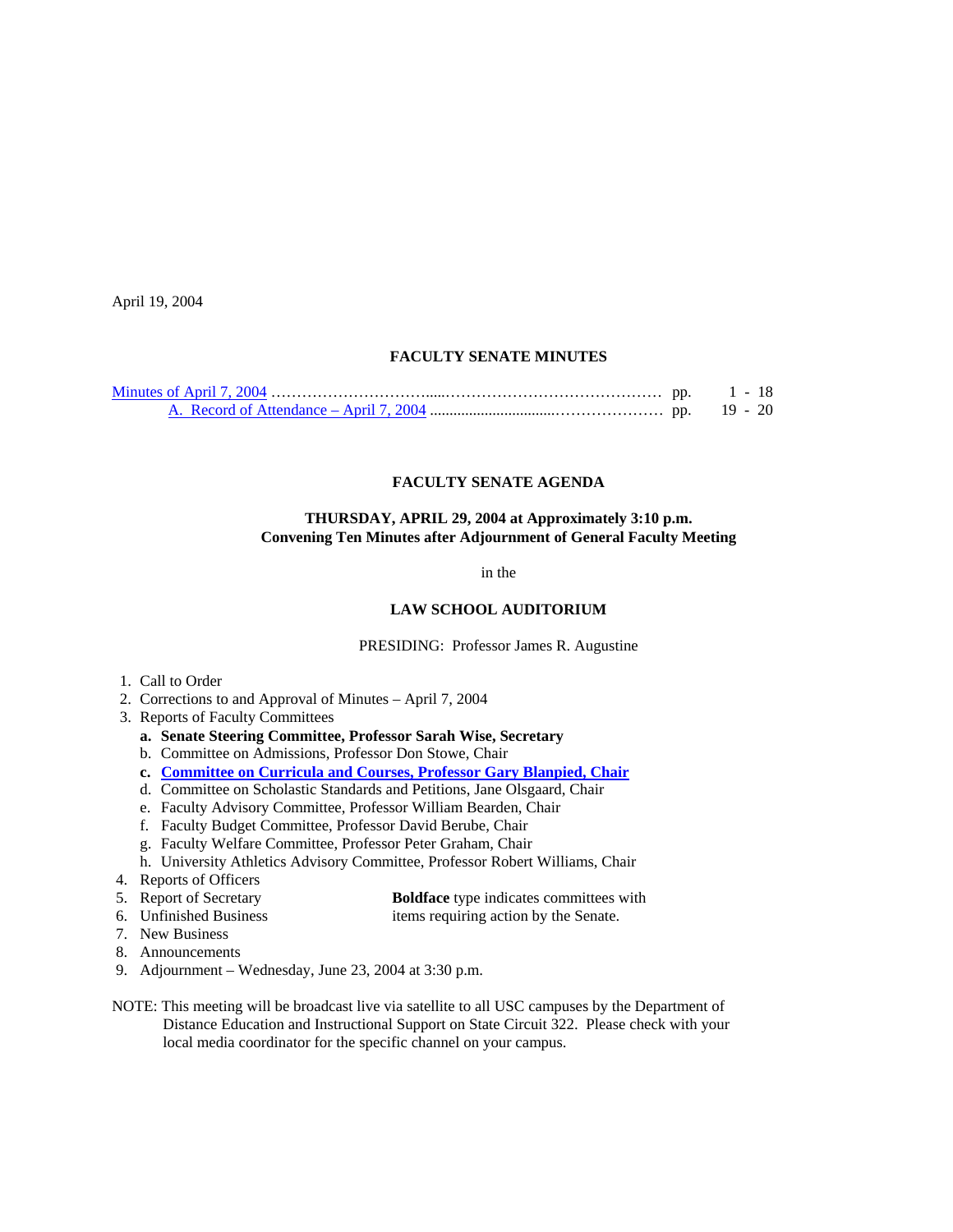April 19, 2004

#### **FACULTY SENATE MINUTES**

#### **FACULTY SENATE AGENDA**

#### **THURSDAY, APRIL 29, 2004 at Approximately 3:10 p.m. Convening Ten Minutes after Adjournment of General Faculty Meeting**

in the

## **LAW SCHOOL AUDITORIUM**

PRESIDING: Professor James R. Augustine

- 1. Call to Order
- 2. Corrections to and Approval of Minutes April 7, 2004
- 3. Reports of Faculty Committees
	- **a. Senate Steering Committee, Professor Sarah Wise, Secretary**
	- b. Committee on Admissions, Professor Don Stowe, Chair
	- **c. [Committee on Curricula and Courses, Professor Gary Blanpied, Chair](http://www.sc.edu/faculty/senate/04/agenda/0429.cc.pdf)**
	- d. Committee on Scholastic Standards and Petitions, Jane Olsgaard, Chair
	- e. Faculty Advisory Committee, Professor William Bearden, Chair
	- f. Faculty Budget Committee, Professor David Berube, Chair
	- g. Faculty Welfare Committee, Professor Peter Graham, Chair
	- h. University Athletics Advisory Committee, Professor Robert Williams, Chair
- 4. Reports of Officers
- 5. Report of Secretary **Boldface** type indicates committees with
- 6. Unfinished Business items requiring action by the Senate.
- 7. New Business
- 8. Announcements
- 9. Adjournment Wednesday, June 23, 2004 at 3:30 p.m.
- NOTE: This meeting will be broadcast live via satellite to all USC campuses by the Department of Distance Education and Instructional Support on State Circuit 322. Please check with your local media coordinator for the specific channel on your campus.